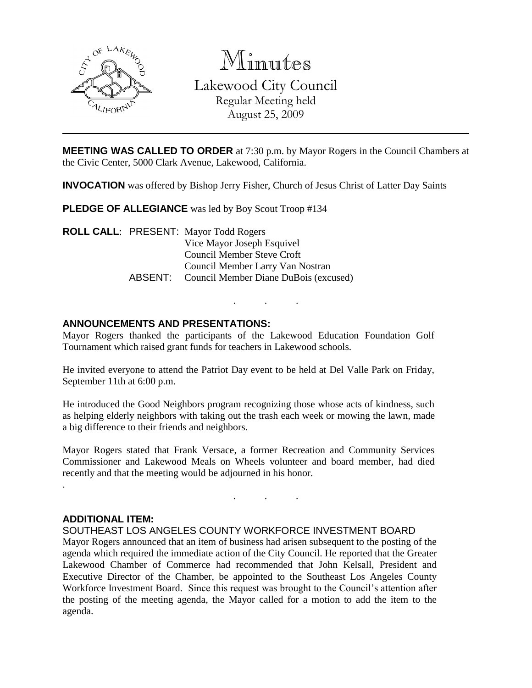

Minutes Lakewood City Council Regular Meeting held August 25, 2009

**MEETING WAS CALLED TO ORDER** at 7:30 p.m. by Mayor Rogers in the Council Chambers at the Civic Center, 5000 Clark Avenue, Lakewood, California.

**INVOCATION** was offered by Bishop Jerry Fisher, Church of Jesus Christ of Latter Day Saints

**PLEDGE OF ALLEGIANCE** was led by Boy Scout Troop #134

**ROLL CALL**: PRESENT: Mayor Todd Rogers Vice Mayor Joseph Esquivel Council Member Steve Croft Council Member Larry Van Nostran ABSENT: Council Member Diane DuBois (excused)

### **ANNOUNCEMENTS AND PRESENTATIONS:**

Mayor Rogers thanked the participants of the Lakewood Education Foundation Golf Tournament which raised grant funds for teachers in Lakewood schools.

. . .

He invited everyone to attend the Patriot Day event to be held at Del Valle Park on Friday, September 11th at 6:00 p.m.

He introduced the Good Neighbors program recognizing those whose acts of kindness, such as helping elderly neighbors with taking out the trash each week or mowing the lawn, made a big difference to their friends and neighbors.

Mayor Rogers stated that Frank Versace, a former Recreation and Community Services Commissioner and Lakewood Meals on Wheels volunteer and board member, had died recently and that the meeting would be adjourned in his honor.

. . .

#### **ADDITIONAL ITEM:**

.

SOUTHEAST LOS ANGELES COUNTY WORKFORCE INVESTMENT BOARD

Mayor Rogers announced that an item of business had arisen subsequent to the posting of the agenda which required the immediate action of the City Council. He reported that the Greater Lakewood Chamber of Commerce had recommended that John Kelsall, President and Executive Director of the Chamber, be appointed to the Southeast Los Angeles County Workforce Investment Board. Since this request was brought to the Council's attention after the posting of the meeting agenda, the Mayor called for a motion to add the item to the agenda.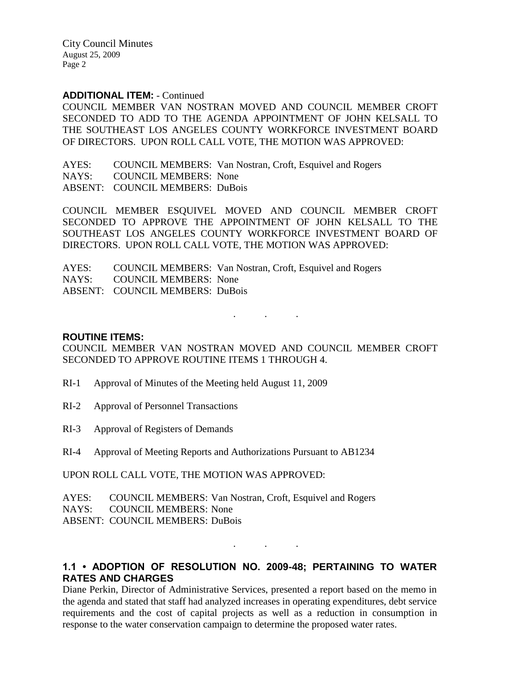City Council Minutes August 25, 2009 Page 2

#### **ADDITIONAL ITEM:** - Continued

COUNCIL MEMBER VAN NOSTRAN MOVED AND COUNCIL MEMBER CROFT SECONDED TO ADD TO THE AGENDA APPOINTMENT OF JOHN KELSALL TO THE SOUTHEAST LOS ANGELES COUNTY WORKFORCE INVESTMENT BOARD OF DIRECTORS. UPON ROLL CALL VOTE, THE MOTION WAS APPROVED:

AYES: COUNCIL MEMBERS: Van Nostran, Croft, Esquivel and Rogers NAYS: COUNCIL MEMBERS: None ABSENT: COUNCIL MEMBERS: DuBois

COUNCIL MEMBER ESQUIVEL MOVED AND COUNCIL MEMBER CROFT SECONDED TO APPROVE THE APPOINTMENT OF JOHN KELSALL TO THE SOUTHEAST LOS ANGELES COUNTY WORKFORCE INVESTMENT BOARD OF DIRECTORS. UPON ROLL CALL VOTE, THE MOTION WAS APPROVED:

AYES: COUNCIL MEMBERS: Van Nostran, Croft, Esquivel and Rogers NAYS: COUNCIL MEMBERS: None ABSENT: COUNCIL MEMBERS: DuBois

### **ROUTINE ITEMS:**

COUNCIL MEMBER VAN NOSTRAN MOVED AND COUNCIL MEMBER CROFT SECONDED TO APPROVE ROUTINE ITEMS 1 THROUGH 4.

. . .

- RI-1 Approval of Minutes of the Meeting held August 11, 2009
- RI-2 Approval of Personnel Transactions
- RI-3 Approval of Registers of Demands
- RI-4 Approval of Meeting Reports and Authorizations Pursuant to AB1234

UPON ROLL CALL VOTE, THE MOTION WAS APPROVED:

AYES: COUNCIL MEMBERS: Van Nostran, Croft, Esquivel and Rogers NAYS: COUNCIL MEMBERS: None ABSENT: COUNCIL MEMBERS: DuBois

# **1.1 • ADOPTION OF RESOLUTION NO. 2009-48; PERTAINING TO WATER RATES AND CHARGES**

. . .

Diane Perkin, Director of Administrative Services, presented a report based on the memo in the agenda and stated that staff had analyzed increases in operating expenditures, debt service requirements and the cost of capital projects as well as a reduction in consumption in response to the water conservation campaign to determine the proposed water rates.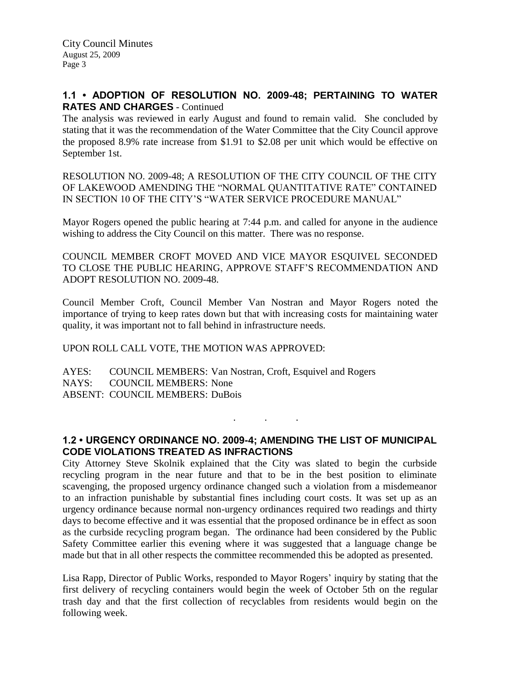# **1.1 • ADOPTION OF RESOLUTION NO. 2009-48; PERTAINING TO WATER RATES AND CHARGES** - Continued

The analysis was reviewed in early August and found to remain valid. She concluded by stating that it was the recommendation of the Water Committee that the City Council approve the proposed 8.9% rate increase from \$1.91 to \$2.08 per unit which would be effective on September 1st.

RESOLUTION NO. 2009-48; A RESOLUTION OF THE CITY COUNCIL OF THE CITY OF LAKEWOOD AMENDING THE "NORMAL QUANTITATIVE RATE" CONTAINED IN SECTION 10 OF THE CITY'S "WATER SERVICE PROCEDURE MANUAL"

Mayor Rogers opened the public hearing at 7:44 p.m. and called for anyone in the audience wishing to address the City Council on this matter. There was no response.

COUNCIL MEMBER CROFT MOVED AND VICE MAYOR ESQUIVEL SECONDED TO CLOSE THE PUBLIC HEARING, APPROVE STAFF'S RECOMMENDATION AND ADOPT RESOLUTION NO. 2009-48.

Council Member Croft, Council Member Van Nostran and Mayor Rogers noted the importance of trying to keep rates down but that with increasing costs for maintaining water quality, it was important not to fall behind in infrastructure needs.

#### UPON ROLL CALL VOTE, THE MOTION WAS APPROVED:

AYES: COUNCIL MEMBERS: Van Nostran, Croft, Esquivel and Rogers NAYS: COUNCIL MEMBERS: None ABSENT: COUNCIL MEMBERS: DuBois

# **1.2 • URGENCY ORDINANCE NO. 2009-4; AMENDING THE LIST OF MUNICIPAL CODE VIOLATIONS TREATED AS INFRACTIONS**

. . .

City Attorney Steve Skolnik explained that the City was slated to begin the curbside recycling program in the near future and that to be in the best position to eliminate scavenging, the proposed urgency ordinance changed such a violation from a misdemeanor to an infraction punishable by substantial fines including court costs. It was set up as an urgency ordinance because normal non-urgency ordinances required two readings and thirty days to become effective and it was essential that the proposed ordinance be in effect as soon as the curbside recycling program began. The ordinance had been considered by the Public Safety Committee earlier this evening where it was suggested that a language change be made but that in all other respects the committee recommended this be adopted as presented.

Lisa Rapp, Director of Public Works, responded to Mayor Rogers' inquiry by stating that the first delivery of recycling containers would begin the week of October 5th on the regular trash day and that the first collection of recyclables from residents would begin on the following week.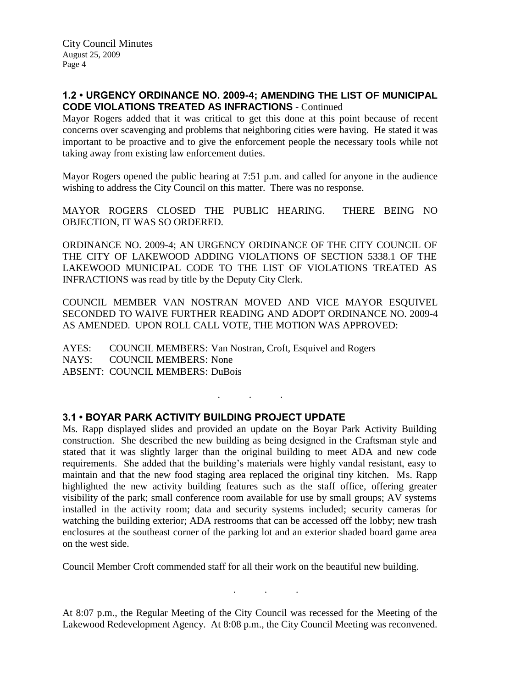# **1.2 • URGENCY ORDINANCE NO. 2009-4; AMENDING THE LIST OF MUNICIPAL CODE VIOLATIONS TREATED AS INFRACTIONS** - Continued

Mayor Rogers added that it was critical to get this done at this point because of recent concerns over scavenging and problems that neighboring cities were having. He stated it was important to be proactive and to give the enforcement people the necessary tools while not taking away from existing law enforcement duties.

Mayor Rogers opened the public hearing at 7:51 p.m. and called for anyone in the audience wishing to address the City Council on this matter. There was no response.

MAYOR ROGERS CLOSED THE PUBLIC HEARING. THERE BEING NO OBJECTION, IT WAS SO ORDERED.

ORDINANCE NO. 2009-4; AN URGENCY ORDINANCE OF THE CITY COUNCIL OF THE CITY OF LAKEWOOD ADDING VIOLATIONS OF SECTION 5338.1 OF THE LAKEWOOD MUNICIPAL CODE TO THE LIST OF VIOLATIONS TREATED AS INFRACTIONS was read by title by the Deputy City Clerk.

COUNCIL MEMBER VAN NOSTRAN MOVED AND VICE MAYOR ESQUIVEL SECONDED TO WAIVE FURTHER READING AND ADOPT ORDINANCE NO. 2009-4 AS AMENDED. UPON ROLL CALL VOTE, THE MOTION WAS APPROVED:

. . .

AYES: COUNCIL MEMBERS: Van Nostran, Croft, Esquivel and Rogers NAYS: COUNCIL MEMBERS: None ABSENT: COUNCIL MEMBERS: DuBois

### **3.1 • BOYAR PARK ACTIVITY BUILDING PROJECT UPDATE**

Ms. Rapp displayed slides and provided an update on the Boyar Park Activity Building construction. She described the new building as being designed in the Craftsman style and stated that it was slightly larger than the original building to meet ADA and new code requirements. She added that the building's materials were highly vandal resistant, easy to maintain and that the new food staging area replaced the original tiny kitchen. Ms. Rapp highlighted the new activity building features such as the staff office, offering greater visibility of the park; small conference room available for use by small groups; AV systems installed in the activity room; data and security systems included; security cameras for watching the building exterior; ADA restrooms that can be accessed off the lobby; new trash enclosures at the southeast corner of the parking lot and an exterior shaded board game area on the west side.

Council Member Croft commended staff for all their work on the beautiful new building.

At 8:07 p.m., the Regular Meeting of the City Council was recessed for the Meeting of the Lakewood Redevelopment Agency. At 8:08 p.m., the City Council Meeting was reconvened.

. . .